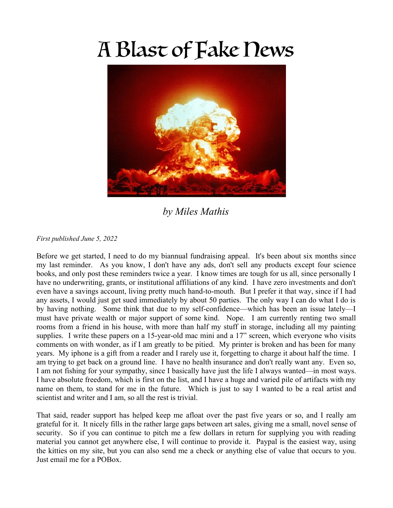## A Blast of Fake News



*by Miles Mathis*

## *First published June 5, 2022*

Before we get started, I need to do my biannual fundraising appeal. It's been about six months since my last reminder. As you know, I don't have any ads, don't sell any products except four science books, and only post these reminders twice a year. I know times are tough for us all, since personally I have no underwriting, grants, or institutional affiliations of any kind. I have zero investments and don't even have a savings account, living pretty much hand-to-mouth. But I prefer it that way, since if I had any assets, I would just get sued immediately by about 50 parties. The only way I can do what I do is by having nothing. Some think that due to my self-confidence—which has been an issue lately—I must have private wealth or major support of some kind. Nope. I am currently renting two small rooms from a friend in his house, with more than half my stuff in storage, including all my painting supplies. I write these papers on a 15-year-old mac mini and a 17" screen, which everyone who visits comments on with wonder, as if I am greatly to be pitied. My printer is broken and has been for many years. My iphone is a gift from a reader and I rarely use it, forgetting to charge it about half the time. I am trying to get back on a ground line. I have no health insurance and don't really want any. Even so, I am not fishing for your sympathy, since I basically have just the life I always wanted—in most ways. I have absolute freedom, which is first on the list, and I have a huge and varied pile of artifacts with my name on them, to stand for me in the future. Which is just to say I wanted to be a real artist and scientist and writer and I am, so all the rest is trivial.

That said, reader support has helped keep me afloat over the past five years or so, and I really am grateful for it. It nicely fills in the rather large gaps between art sales, giving me a small, novel sense of security. So if you can continue to pitch me a few dollars in return for supplying you with reading material you cannot get anywhere else, I will continue to provide it. Paypal is the easiest way, using the kitties on my site, but you can also send me a check or anything else of value that occurs to you. Just email me for a POBox.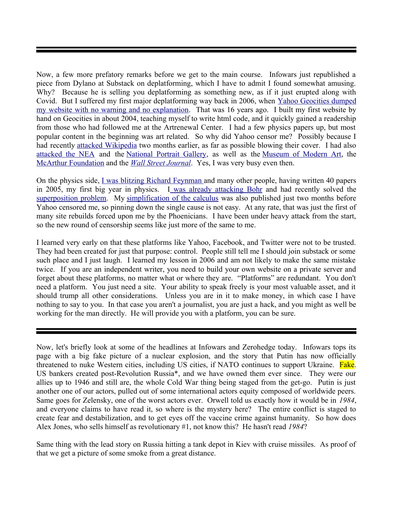Now, a few more prefatory remarks before we get to the main course. Infowars just republished a piece from Dylano at Substack on deplatforming, which I have to admit I found somewhat amusing. Why? Because he is selling you deplatforming as something new, as if it just erupted along with Covid. But I suffered my first major deplatforming way back in 2006, when [Yahoo Geocities dumped](http://mileswmathis.com/censored.html) [my website with no warning and no explanation.](http://mileswmathis.com/censored.html) That was 16 years ago. I built my first website by hand on Geocities in about 2004, teaching myself to write html code, and it quickly gained a readership from those who had followed me at the Artrenewal Center. I had a few physics papers up, but most popular content in the beginning was art related. So why did Yahoo censor me? Possibly because I had recently [attacked Wikipedia](http://mileswmathis.com/wiki.html) two months earlier, as far as possible blowing their cover. I had also [attacked the NEA](http://mileswmathis.com/nea.html) and the [National Portrait Gallery,](http://mileswmathis.com/we.html) as well as the [Museum of Modern Art,](http://mileswmathis.com/moma.html) the [McArthur Foundation](http://mileswmathis.com/mac.html) and the *[Wall Street Journal](http://mileswmathis.com/wsj.html)*. Yes, I was very busy even then.

On the physics side, [I was blitzing Richard Feynman](http://milesmathis.com/feyn.html) and many other people, having written 40 papers in 2005, my first big year in physics. [I was already attacking Bohr](http://milesmathis.com/bohr.html) and had recently solved the [superposition problem.](http://milesmathis.com/super.html) My [simplification of the calculus](http://milesmathis.com/calcsimp.html) was also published just two months before Yahoo censored me, so pinning down the single cause is not easy. At any rate, that was just the first of many site rebuilds forced upon me by the Phoenicians. I have been under heavy attack from the start, so the new round of censorship seems like just more of the same to me.

I learned very early on that these platforms like Yahoo, Facebook, and Twitter were not to be trusted. They had been created for just that purpose: control. People still tell me I should join substack or some such place and I just laugh. I learned my lesson in 2006 and am not likely to make the same mistake twice. If you are an independent writer, you need to build your own website on a private server and forget about these platforms, no matter what or where they are. "Platforms" are redundant. You don't need a platform. You just need a site. Your ability to speak freely is your most valuable asset, and it should trump all other considerations. Unless you are in it to make money, in which case I have nothing to say to you. In that case you aren't a journalist, you are just a hack, and you might as well be working for the man directly. He will provide you with a platform, you can be sure.

Now, let's briefly look at some of the headlines at Infowars and Zerohedge today. Infowars tops its page with a big fake picture of a nuclear explosion, and the story that Putin has now officially threatened to nuke Western cities, including US cities, if NATO continues to support Ukraine. Fake. US bankers created post-Revolution Russia\*, and we have owned them ever since. They were our allies up to 1946 and still are, the whole Cold War thing being staged from the get-go. Putin is just another one of our actors, pulled out of some international actors equity composed of worldwide peers. Same goes for Zelensky, one of the worst actors ever. Orwell told us exactly how it would be in *1984*, and everyone claims to have read it, so where is the mystery here? The entire conflict is staged to create fear and destabilization, and to get eyes off the vaccine crime against humanity. So how does Alex Jones, who sells himself as revolutionary #1, not know this? He hasn't read *1984*?

Same thing with the lead story on Russia hitting a tank depot in Kiev with cruise missiles. As proof of that we get a picture of some smoke from a great distance.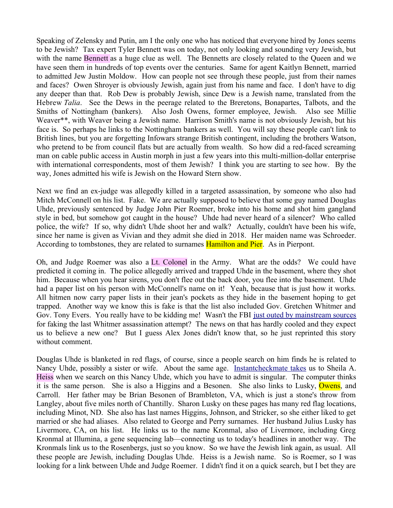Speaking of Zelensky and Putin, am I the only one who has noticed that everyone hired by Jones seems to be Jewish? Tax expert Tyler Bennett was on today, not only looking and sounding very Jewish, but with the name Bennett as a huge clue as well. The Bennetts are closely related to the Queen and we have seen them in hundreds of top events over the centuries. Same for agent Kaitlyn Bennett, married to admitted Jew Justin Moldow. How can people not see through these people, just from their names and faces? Owen Shroyer is obviously Jewish, again just from his name and face. I don't have to dig any deeper than that. Rob Dew is probably Jewish, since Dew is a Jewish name, translated from the Hebrew *Talia*. See the Dews in the peerage related to the Breretons, Bonapartes, Talbots, and the Smiths of Nottingham (bankers). Also Josh Owens, former employee, Jewish. Also see Millie Weaver\*\*, with Weaver being a Jewish name. Harrison Smith's name is not obviously Jewish, but his face is. So perhaps he links to the Nottingham bankers as well. You will say these people can't link to British lines, but you are forgetting Infowars strange British contingent, including the brothers Watson, who pretend to be from council flats but are actually from wealth. So how did a red-faced screaming man on cable public access in Austin morph in just a few years into this multi-million-dollar enterprise with international correspondents, most of them Jewish? I think you are starting to see how. By the way, Jones admitted his wife is Jewish on the Howard Stern show.

Next we find an ex-judge was allegedly killed in a targeted assassination, by someone who also had Mitch McConnell on his list. Fake. We are actually supposed to believe that some guy named Douglas Uhde, previously sentenced by Judge John Pier Roemer, broke into his home and shot him gangland style in bed, but somehow got caught in the house? Uhde had never heard of a silencer? Who called police, the wife? If so, why didn't Uhde shoot her and walk? Actually, couldn't have been his wife, since her name is given as Vivian and they admit she died in 2018. Her maiden name was Schroeder. According to tombstones, they are related to surnames **Hamilton and Pier.** As in Pierpont.

Oh, and Judge Roemer was also a Lt. Colonel in the Army. What are the odds? We could have predicted it coming in. The police allegedly arrived and trapped Uhde in the basement, where they shot him. Because when you hear sirens, you don't flee out the back door, you flee into the basement. Uhde had a paper list on his person with McConnell's name on it! Yeah, because that is just how it works. All hitmen now carry paper lists in their jean's pockets as they hide in the basement hoping to get trapped. Another way we know this is fake is that the list also included Gov. Gretchen Whitmer and Gov. Tony Evers. You really have to be kidding me! Wasn't the FBI [just outed by mainstream sources](https://nypost.com/2022/04/13/inside-fbis-probe-and-entrapment-of-a-michigan-militia-crew/) for faking the last Whitmer assassination attempt? The news on that has hardly cooled and they expect us to believe a new one? But I guess Alex Jones didn't know that, so he just reprinted this story without comment.

Douglas Uhde is blanketed in red flags, of course, since a people search on him finds he is related to Nancy Uhde, possibly a sister or wife. About the same age. [Instantcheckmate takes](https://www.instantcheckmate.com/results?firstName=nancy&middleInitial=&lastName=Uhde&city=&state=WI&age=) us to Sheila A. Heiss when we search on this Nancy Uhde, which you have to admit is singular. The computer thinks it is the same person. She is also a Higgins and a Besonen. She also links to Lusky, Owens, and Carroll. Her father may be Brian Besonen of Brambleton, VA, which is just a stone's throw from Langley, about five miles north of Chantilly. Sharon Lusky on these pages has many red flag locations, including Minot, ND. She also has last names Higgins, Johnson, and Stricker, so she either liked to get married or she had aliases. Also related to George and Perry surnames. Her husband Julius Lusky has Livermore, CA, on his list. He links us to the name Kronmal, also of Livermore, including Greg Kronmal at Illumina, a gene sequencing lab—connecting us to today's headlines in another way. The Kronmals link us to the Rosenbergs, just so you know. So we have the Jewish link again, as usual. All these people are Jewish, including Douglas Uhde. Heiss is a Jewish name. So is Roemer, so I was looking for a link between Uhde and Judge Roemer. I didn't find it on a quick search, but I bet they are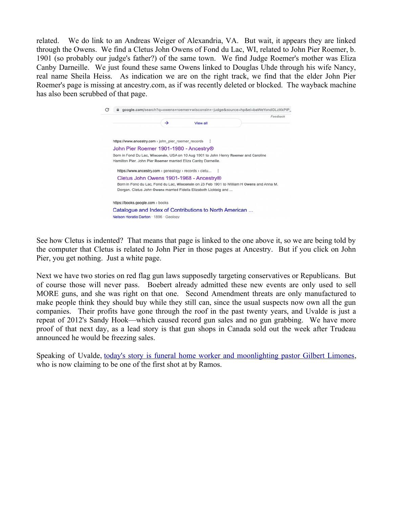related. We do link to an Andreas Weiger of Alexandria, VA. But wait, it appears they are linked through the Owens. We find a Cletus John Owens of Fond du Lac, WI, related to John Pier Roemer, b. 1901 (so probably our judge's father?) of the same town. We find Judge Roemer's mother was Eliza Canby Darneille. We just found these same Owens linked to Douglas Uhde through his wife Nancy, real name Sheila Heiss. As indication we are on the right track, we find that the elder John Pier Roemer's page is missing at ancestry.com, as if was recently deleted or blocked. The wayback machine has also been scrubbed of that page.



See how Cletus is indented? That means that page is linked to the one above it, so we are being told by the computer that Cletus is related to John Pier in those pages at Ancestry. But if you click on John Pier, you get nothing. Just a white page.

Next we have two stories on red flag gun laws supposedly targeting conservatives or Republicans. But of course those will never pass. Boebert already admitted these new events are only used to sell MORE guns, and she was right on that one. Second Amendment threats are only manufactured to make people think they should buy while they still can, since the usual suspects now own all the gun companies. Their profits have gone through the roof in the past twenty years, and Uvalde is just a repeat of 2012's Sandy Hook—which caused record gun sales and no gun grabbing. We have more proof of that next day, as a lead story is that gun shops in Canada sold out the week after Trudeau announced he would be freezing sales.

Speaking of Uvalde, [today's story is funeral home worker and moonlighting pastor Gilbert Limones,](https://www.nbcphiladelphia.com/news/national-international/i-saw-it-all-uvalde-pastor-who-was-gunmans-early-target-recounts-terror-in-sermon/3261941/) who is now claiming to be one of the first shot at by Ramos.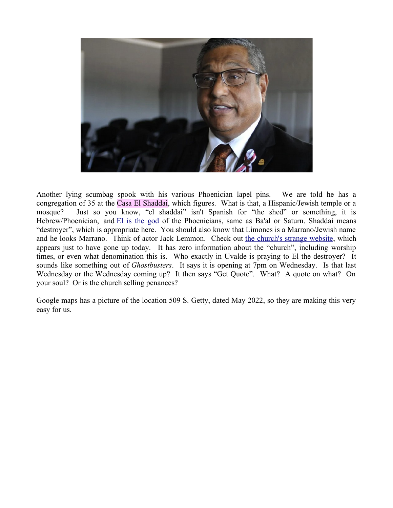

Another lying scumbag spook with his various Phoenician lapel pins. We are told he has a congregation of 35 at the Casa El Shaddai, which figures. What is that, a Hispanic/Jewish temple or a mosque? Just so you know, "el shaddai" isn't Spanish for "the shed" or something, it is Hebrew/Phoenician, and [El is the god](https://en.wikipedia.org/wiki/El_Shaddai) of the Phoenicians, same as Ba'al or Saturn. Shaddai means "destroyer", which is appropriate here. You should also know that Limones is a Marrano/Jewish name and he looks Marrano. Think of actor Jack Lemmon. Check out [the church's strange website,](https://el-shaddai-uvalde.business.site/) which appears just to have gone up today. It has zero information about the "church", including worship times, or even what denomination this is. Who exactly in Uvalde is praying to El the destroyer? It sounds like something out of *Ghostbusters*. It says it is opening at 7pm on Wednesday. Is that last Wednesday or the Wednesday coming up? It then says "Get Quote". What? A quote on what? On your soul? Or is the church selling penances?

Google maps has a picture of the location 509 S. Getty, dated May 2022, so they are making this very easy for us.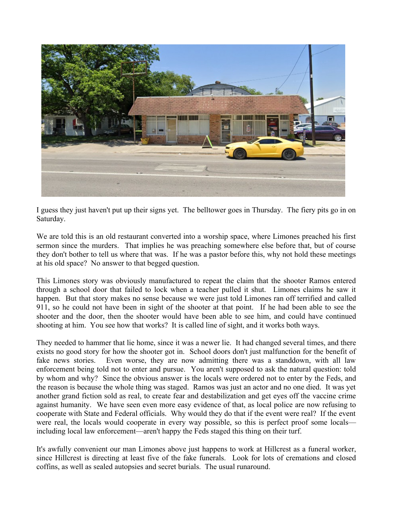

I guess they just haven't put up their signs yet. The belltower goes in Thursday. The fiery pits go in on Saturday.

We are told this is an old restaurant converted into a worship space, where Limones preached his first sermon since the murders. That implies he was preaching somewhere else before that, but of course they don't bother to tell us where that was. If he was a pastor before this, why not hold these meetings at his old space? No answer to that begged question.

This Limones story was obviously manufactured to repeat the claim that the shooter Ramos entered through a school door that failed to lock when a teacher pulled it shut. Limones claims he saw it happen. But that story makes no sense because we were just told Limones ran off terrified and called 911, so he could not have been in sight of the shooter at that point. If he had been able to see the shooter and the door, then the shooter would have been able to see him, and could have continued shooting at him. You see how that works? It is called line of sight, and it works both ways.

They needed to hammer that lie home, since it was a newer lie. It had changed several times, and there exists no good story for how the shooter got in. School doors don't just malfunction for the benefit of fake news stories. Even worse, they are now admitting there was a standdown, with all law enforcement being told not to enter and pursue. You aren't supposed to ask the natural question: told by whom and why? Since the obvious answer is the locals were ordered not to enter by the Feds, and the reason is because the whole thing was staged. Ramos was just an actor and no one died. It was yet another grand fiction sold as real, to create fear and destabilization and get eyes off the vaccine crime against humanity. We have seen even more easy evidence of that, as local police are now refusing to cooperate with State and Federal officials. Why would they do that if the event were real? If the event were real, the locals would cooperate in every way possible, so this is perfect proof some locals including local law enforcement—aren't happy the Feds staged this thing on their turf.

It's awfully convenient our man Limones above just happens to work at Hillcrest as a funeral worker, since Hillcrest is directing at least five of the fake funerals. Look for lots of cremations and closed coffins, as well as sealed autopsies and secret burials. The usual runaround.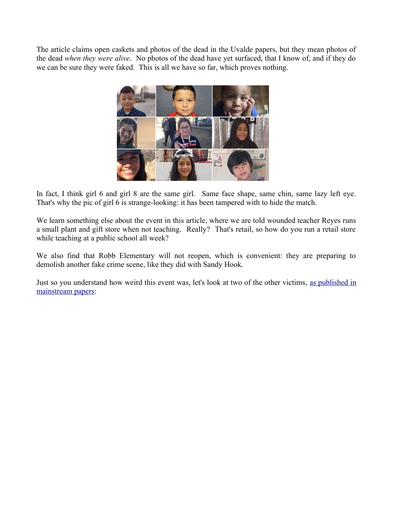The article claims open caskets and photos of the dead in the Uvalde papers, but they mean photos of the dead *when they were alive*. No photos of the dead have yet surfaced, that I know of, and if they do we can be sure they were faked. This is all we have so far, which proves nothing.



In fact, I think girl 6 and girl 8 are the same girl. Same face shape, same chin, same lazy left eye. That's why the pic of girl 6 is strange-looking: it has been tampered with to hide the match.

We learn something else about the event in this article, where we are told wounded teacher Reyes runs a small plant and gift store when not teaching. Really? That's retail, so how do you run a retail store while teaching at a public school all week?

We also find that Robb Elementary will not reopen, which is convenient: they are preparing to demolish another fake crime scene, like they did with Sandy Hook.

Just so you understand how weird this event was, let's look at two of the other victims, [as published in](https://expressdigest.com/tucker-carlson-accuses-texas-cops-of-bs-lies-over-why-school-shooter-wasnt-stopped/) [mainstream papers:](https://expressdigest.com/tucker-carlson-accuses-texas-cops-of-bs-lies-over-why-school-shooter-wasnt-stopped/)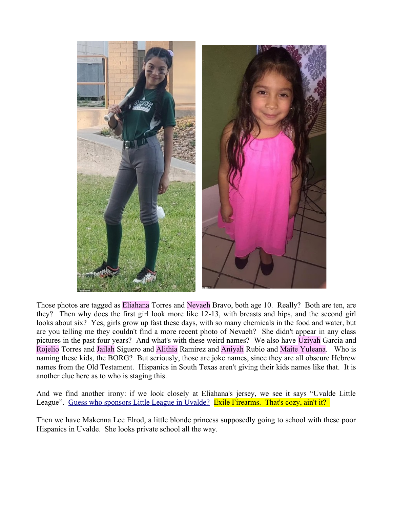

Those photos are tagged as Eliahana Torres and Nevaeh Bravo, both age 10. Really? Both are ten, are they? Then why does the first girl look more like 12-13, with breasts and hips, and the second girl looks about six? Yes, girls grow up fast these days, with so many chemicals in the food and water, but are you telling me they couldn't find a more recent photo of Nevaeh? She didn't appear in any class pictures in the past four years? And what's with these weird names? We also have Uziyah Garcia and Rojelio Torres and Jailah Siguero and Alithia Ramirez and Aniyah Rubio and Maite Yuleana. Who is naming these kids, the BORG? But seriously, those are joke names, since they are all obscure Hebrew names from the Old Testament. Hispanics in South Texas aren't giving their kids names like that. It is another clue here as to who is staging this.

And we find another irony: if we look closely at Eliahana's jersey, we see it says "Uvalde Little League". [Guess who sponsors Little League in Uvalde?](https://www.uvaldelittleleague.com/Default.aspx?tabid=2592521) Exile Firearms. That's cozy, ain't it?

Then we have Makenna Lee Elrod, a little blonde princess supposedly going to school with these poor Hispanics in Uvalde. She looks private school all the way.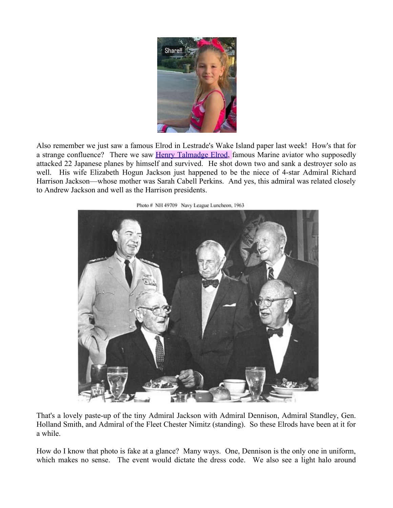

Also remember we just saw a famous Elrod in Lestrade's Wake Island paper last week! How's that for a strange confluence? There we saw **Henry Talmadge Elrod**, famous Marine aviator who supposedly attacked 22 Japanese planes by himself and survived. He shot down two and sank a destroyer solo as well. His wife Elizabeth Hogun Jackson just happened to be the niece of 4-star Admiral Richard Harrison Jackson—whose mother was Sarah Cabell Perkins. And yes, this admiral was related closely to Andrew Jackson and well as the Harrison presidents.



Photo # NH 49709 Navy League Luncheon, 1963

That's a lovely paste-up of the tiny Admiral Jackson with Admiral Dennison, Admiral Standley, Gen. Holland Smith, and Admiral of the Fleet Chester Nimitz (standing). So these Elrods have been at it for a while.

How do I know that photo is fake at a glance? Many ways. One, Dennison is the only one in uniform, which makes no sense. The event would dictate the dress code. We also see a light halo around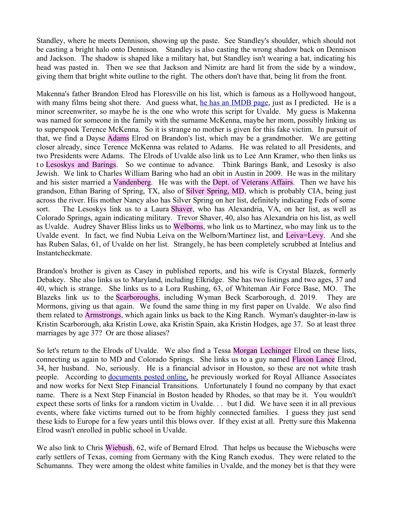Standley, where he meets Dennison, showing up the paste. See Standley's shoulder, which should not be casting a bright halo onto Dennison. Standley is also casting the wrong shadow back on Dennison and Jackson. The shadow is shaped like a military hat, but Standley isn't wearing a hat, indicating his head was pasted in. Then we see that Jackson and Nimitz are hard lit from the side by a window, giving them that bright white outline to the right. The others don't have that, being lit from the front.

Makenna's father Brandon Elrod has Floresville on his list, which is famous as a Hollywood hangout, with many films being shot there. And guess what, [he has an IMDB page,](https://www.imdb.com/name/nm9365252/) just as I predicted. He is a minor screenwriter, so maybe he is the one who wrote this script for Uvalde. My guess is Makenna was named for someone in the family with the surname McKenna, maybe her mom, possibly linking us to superspook Terence McKenna. So it is strange no mother is given for this fake victim. In pursuit of that, we find a Dayse Adams Elrod on Brandon's list, which may be a grandmother. We are getting closer already, since Terence McKenna was related to Adams. He was related to all Presidents, and two Presidents were Adams. The Elrods of Uvalde also link us to Lee Ann Kramer, who then links us t o Lesoskys and Barings. So we continue to advance. Think Barings Bank, and Lesosky is also Jewish. We link to Charles William Baring who had an obit in Austin in 2009. He was in the military and his sister married a Vandenberg. He was with the Dept. of Veterans Affairs. Then we have his grandson, Ethan Baring of Spring, TX, also of Silver Spring, MD, which is probably CIA, being just across the river. His mother Nancy also has Silver Spring on her list, definitely indicating Feds of some sort. The Lesoskys link us to a Laura Shaver, who has Alexandria, VA, on her list, as well as Colorado Springs, again indicating military. Trevor Shaver, 40, also has Alexandria on his list, as well as Uvalde. Audrey Shaver Bliss links us to Welborns, who link us to Martinez, who may link us to the Uvalde event. In fact, we find Nubia Leiva on the Welborn/Martinez list, and Leiva=Levy. And she has Ruben Salas, 61, of Uvalde on her list. Strangely, he has been completely scrubbed at Intelius and Instantcheckmate.

Brandon's brother is given as Casey in published reports, and his wife is Crystal Blazek, formerly Debakey. She also links us to Maryland, including Elkridge. She has two listings and two ages, 37 and 40, which is strange. She links us to a Lora Rushing, 63, of Whiteman Air Force Base, MO. The Blazeks link us to the Scarboroughs, including Wyman Beck Scarborough, d. 2019. They are Mormons, giving us that again. We found the same thing in my first paper on Uvalde. We also find them related to Armstrongs, which again links us back to the King Ranch. Wyman's daughter-in-law is Kristin Scarborough, aka Kristin Lowe, aka Kristin Spain, aka Kristin Hodges, age 37. So at least three marriages by age 37? Or are those aliases?

So let's return to the Elrods of Uvalde. We also find a Tessa Morgan Lechinger Elrod on these lists, connecting us again to MD and Colorado Springs. She links us to a guy named Flaxon Lance Elrod, 34, her husband. No, seriously. He is a financial advisor in Houston, so these are not white trash people. According to [documents posted online,](https://reports.adviserinfo.sec.gov/reports/individual/individual_5818345.pdf) he previously worked for Royal Alliance Associates and now works for Next Step Financial Transitions. Unfortunately I found no company by that exact name. There is a Next Step Financial in Boston headed by Rhodes, so that may be it. You wouldn't expect these sorts of links for a random victim in Uvalde. . . but I did. We have seen it in all previous events, where fake victims turned out to be from highly connected families. I guess they just send these kids to Europe for a few years until this blows over. If they exist at all. Pretty sure this Makenna Elrod wasn't enrolled in public school in Uvalde.

We also link to Chris Wiebush, 62, wife of Bernard Elrod. That helps us because the Wiebuschs were early settlers of Texas, coming from Germany with the King Ranch exodus. They were related to the Schumanns. They were among the oldest white families in Uvalde, and the money bet is that they were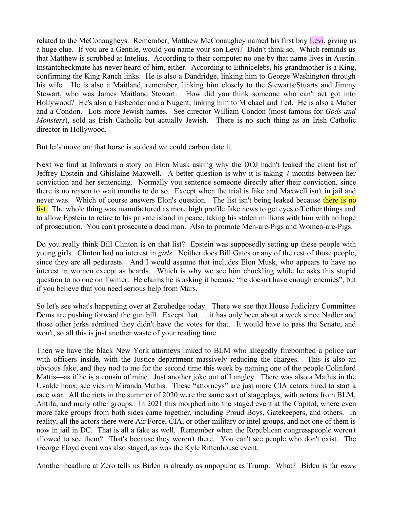related to the McConaugheys. Remember, Matthew McConaughey named his first boy Levi, giving us a huge clue. If you are a Gentile, would you name your son Levi? Didn't think so. Which reminds us that Matthew is scrubbed at Intelius. According to their computer no one by that name lives in Austin. Instantcheckmate has never heard of him, either. According to Ethnicelebs, his grandmother is a King, confirming the King Ranch links. He is also a Dandridge, linking him to George Washington through his wife. He is also a Maitland, remember, linking him closely to the Stewarts/Stuarts and Jimmy Stewart, who was James Maitland Stewart. How did you think someone who can't act got into Hollywood? He's also a Fasbender and a Nugent, linking him to Michael and Ted. He is also a Maher and a Condon. Lots more Jewish names. See director William Condon (most famous for *Gods and Monsters*), sold as Irish Catholic but actually Jewish. There is no such thing as an Irish Catholic director in Hollywood.

But let's move on: that horse is so dead we could carbon date it.

Next we find at Infowars a story on Elon Musk asking why the DOJ hadn't leaked the client list of Jeffrey Epstein and Ghislaine Maxwell. A better question is why it is taking 7 months between her conviction and her sentencing. Normally you sentence someone directly after their conviction, since there is no reason to wait months to do so. Except when the trial is fake and Maxwell isn't in jail and never was. Which of course answers Elon's question. The list isn't being leaked because there is no list. The whole thing was manufactured as more high profile fake news to get eyes off other things and to allow Epstein to retire to his private island in peace, taking his stolen millions with him with no hope of prosecution. You can't prosecute a dead man. Also to promote Men-are-Pigs and Women-are-Pigs.

Do you really think Bill Clinton is on that list? Epstein was supposedly setting up these people with young girls. Clinton had no interest in *girls*. Neither does Bill Gates or any of the rest of those people, since they are all pederasts. And I would assume that includes Elon Musk, who appears to have no interest in women except as beards. Which is why we see him chuckling while he asks this stupid question to no one on Twitter. He claims he is asking it because "he doesn't have enough enemies", but if you believe that you need serious help from Mars.

So let's see what's happening over at Zerohedge today. There we see that House Judiciary Committee Dems are pushing forward the gun bill. Except that. . . it has only been about a week since Nadler and those other jerks admitted they didn't have the votes for that. It would have to pass the Senate, and won't, so all this is just another waste of your reading time.

Then we have the black New York attorneys linked to BLM who allegedly firebombed a police car with officers inside, with the Justice department massively reducing the charges. This is also an obvious fake, and they nod to me for the second time this week by naming one of the people Colinford Mattis—as if he is a cousin of mine. Just another joke out of Langley. There was also a Mathis in the Uvalde hoax, see vicsim Miranda Mathis. These "attorneys" are just more CIA actors hired to start a race war. All the riots in the summer of 2020 were the same sort of stageplays, with actors from BLM, Antifa, and many other groups. In 2021 this morphed into the staged event at the Capitol, where even more fake groups from both sides came together, including Proud Boys, Gatekeepers, and others. In reality, all the actors there were Air Force, CIA, or other military or intel groups, and not one of them is now in jail in DC. That is all a fake as well. Remember when the Republican congresspeople weren't allowed to see them? That's because they weren't there. You can't see people who don't exist. The George Floyd event was also staged, as was the Kyle Rittenhouse event.

Another headline at Zero tells us Biden is already as unpopular as Trump. What? Biden is far *more*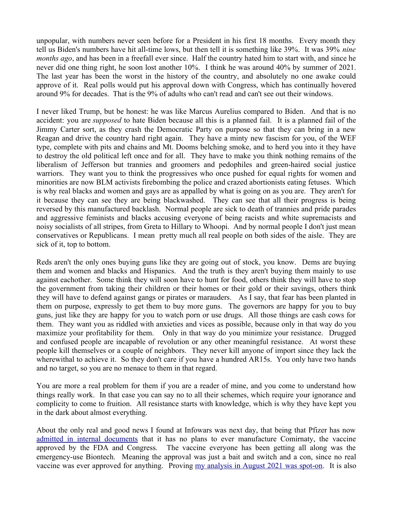unpopular, with numbers never seen before for a President in his first 18 months. Every month they tell us Biden's numbers have hit all-time lows, but then tell it is something like 39%. It was 39% *nine months ago*, and has been in a freefall ever since. Half the country hated him to start with, and since he never did one thing right, he soon lost another 10%. I think he was around 40% by summer of 2021. The last year has been the worst in the history of the country, and absolutely no one awake could approve of it. Real polls would put his approval down with Congress, which has continually hovered around 9% for decades. That is the 9% of adults who can't read and can't see out their windows.

I never liked Trump, but be honest: he was like Marcus Aurelius compared to Biden. And that is no accident: you are *supposed* to hate Biden because all this is a planned fail. It is a planned fail of the Jimmy Carter sort, as they crash the Democratic Party on purpose so that they can bring in a new Reagan and drive the country hard right again. They have a minty new fascism for you, of the WEF type, complete with pits and chains and Mt. Dooms belching smoke, and to herd you into it they have to destroy the old political left once and for all. They have to make you think nothing remains of the liberalism of Jefferson but trannies and groomers and pedophiles and green-haired social justice warriors. They want you to think the progressives who once pushed for equal rights for women and minorities are now BLM activists firebombing the police and crazed abortionists eating fetuses. Which is why real blacks and women and gays are as appalled by what is going on as you are. They aren't for it because they can see they are being blackwashed. They can see that all their progress is being reversed by this manufactured backlash. Normal people are sick to death of trannies and pride parades and aggressive feminists and blacks accusing everyone of being racists and white supremacists and noisy socialists of all stripes, from Greta to Hillary to Whoopi. And by normal people I don't just mean conservatives or Republicans. I mean pretty much all real people on both sides of the aisle. They are sick of it, top to bottom.

Reds aren't the only ones buying guns like they are going out of stock, you know. Dems are buying them and women and blacks and Hispanics. And the truth is they aren't buying them mainly to use against eachother. Some think they will soon have to hunt for food, others think they will have to stop the government from taking their children or their homes or their gold or their savings, others think they will have to defend against gangs or pirates or marauders. As I say, that fear has been planted in them on purpose, expressly to get them to buy more guns. The governors are happy for you to buy guns, just like they are happy for you to watch porn or use drugs. All those things are cash cows for them. They want you as riddled with anxieties and vices as possible, because only in that way do you maximize your profitability for them. Only in that way do you minimize your resistance. Drugged and confused people are incapable of revolution or any other meaningful resistance. At worst these people kill themselves or a couple of neighbors. They never kill anyone of import since they lack the wherewithal to achieve it. So they don't care if you have a hundred AR15s. You only have two hands and no target, so you are no menace to them in that regard.

You are more a real problem for them if you are a reader of mine, and you come to understand how things really work. In that case you can say no to all their schemes, which require your ignorance and complicity to come to fruition. All resistance starts with knowledge, which is why they have kept you in the dark about almost everything.

About the only real and good news I found at Infowars was next day, that being that Pfizer has now [admitted in internal documents](https://www.infowars.com/posts/ghost-shot-pfizer-quietly-admits-it-will-never-manufacture-original-fda-approved-covid-vaccines/) that it has no plans to ever manufacture Comirnaty, the vaccine approved by the FDA and Congress. The vaccine everyone has been getting all along was the emergency-use Biontech. Meaning the approval was just a bait and switch and a con, since no real vaccine was ever approved for anything. Proving [my analysis in August 2021 was spot-on.](http://mileswmathis.com/vax.pdf) It is also